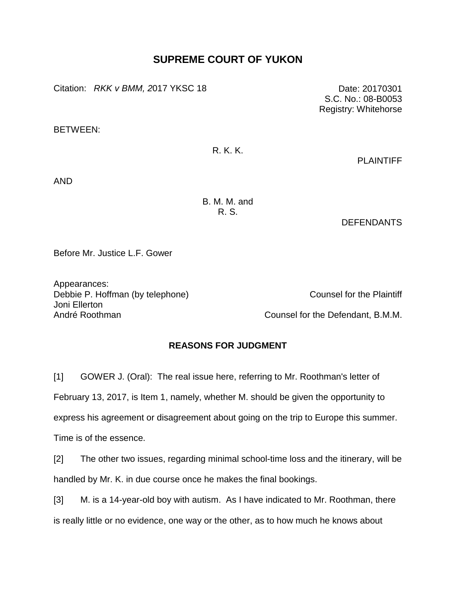## **SUPREME COURT OF YUKON**

Citation: *RKK v BMM,* 2017 YKSC 18 Date: 20170301

BETWEEN:

## R. K. K.

PLAINTIFF

AND

B. M. M. and R. S.

DEFENDANTS

Before Mr. Justice L.F. Gower

Appearances: Debbie P. Hoffman (by telephone) Counsel for the Plaintiff Joni Ellerton André Roothman **Counsel for the Defendant, B.M.M.** 

## **REASONS FOR JUDGMENT**

[1] GOWER J. (Oral): The real issue here, referring to Mr. Roothman's letter of February 13, 2017, is Item 1, namely, whether M. should be given the opportunity to express his agreement or disagreement about going on the trip to Europe this summer. Time is of the essence.

[2] The other two issues, regarding minimal school-time loss and the itinerary, will be handled by Mr. K. in due course once he makes the final bookings.

[3] M. is a 14-year-old boy with autism. As I have indicated to Mr. Roothman, there is really little or no evidence, one way or the other, as to how much he knows about

S.C. No.: 08-B0053 Registry: Whitehorse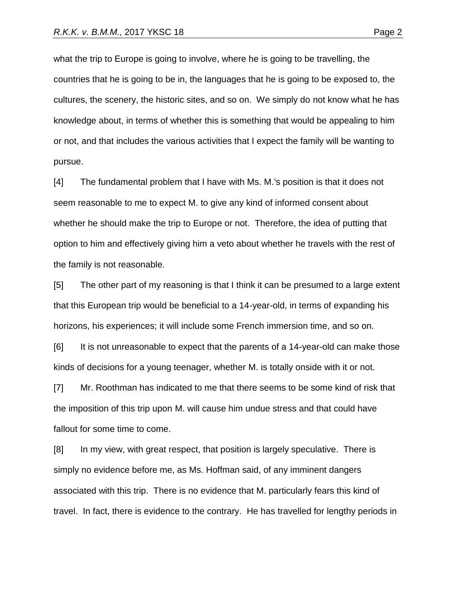what the trip to Europe is going to involve, where he is going to be travelling, the countries that he is going to be in, the languages that he is going to be exposed to, the cultures, the scenery, the historic sites, and so on. We simply do not know what he has knowledge about, in terms of whether this is something that would be appealing to him or not, and that includes the various activities that I expect the family will be wanting to pursue.

[4] The fundamental problem that I have with Ms. M.'s position is that it does not seem reasonable to me to expect M. to give any kind of informed consent about whether he should make the trip to Europe or not. Therefore, the idea of putting that option to him and effectively giving him a veto about whether he travels with the rest of the family is not reasonable.

[5] The other part of my reasoning is that I think it can be presumed to a large extent that this European trip would be beneficial to a 14-year-old, in terms of expanding his horizons, his experiences; it will include some French immersion time, and so on.

[6] It is not unreasonable to expect that the parents of a 14-year-old can make those kinds of decisions for a young teenager, whether M. is totally onside with it or not.

[7] Mr. Roothman has indicated to me that there seems to be some kind of risk that the imposition of this trip upon M. will cause him undue stress and that could have fallout for some time to come.

[8] In my view, with great respect, that position is largely speculative. There is simply no evidence before me, as Ms. Hoffman said, of any imminent dangers associated with this trip. There is no evidence that M. particularly fears this kind of travel. In fact, there is evidence to the contrary. He has travelled for lengthy periods in